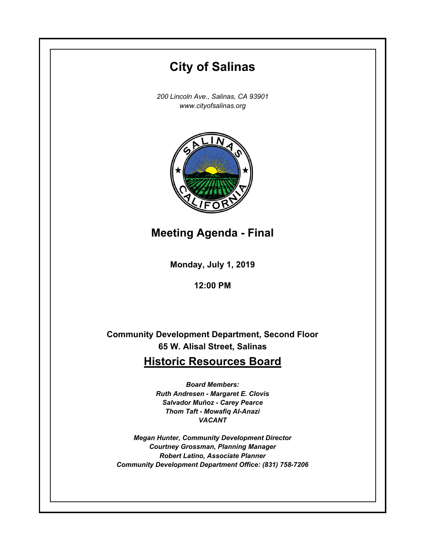# **City of Salinas** *200 Lincoln Ave., Salinas, CA 93901 www.cityofsalinas.org*

**Meeting Agenda - Final**

**Monday, July 1, 2019**

**12:00 PM**

**Community Development Department, Second Floor 65 W. Alisal Street, Salinas**

# **Historic Resources Board**

*Board Members: Ruth Andresen - Margaret E. Clovis Salvador Muñoz - Carey Pearce Thom Taft - Mowafiq Al-Anazi VACANT*

*Megan Hunter, Community Development Director Courtney Grossman, Planning Manager Robert Latino, Associate Planner Community Development Department Office: (831) 758-7206*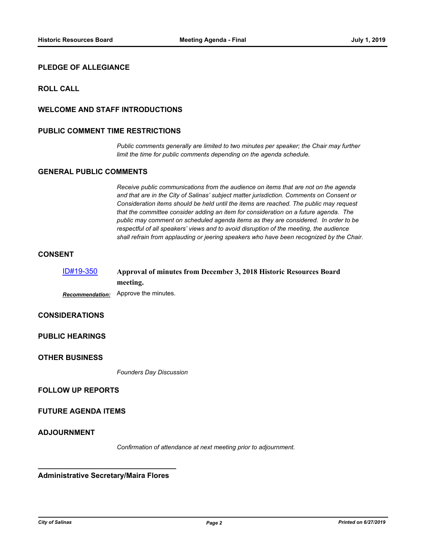# **PLEDGE OF ALLEGIANCE**

# **ROLL CALL**

# **WELCOME AND STAFF INTRODUCTIONS**

## **PUBLIC COMMENT TIME RESTRICTIONS**

*Public comments generally are limited to two minutes per speaker; the Chair may further limit the time for public comments depending on the agenda schedule.*

# **GENERAL PUBLIC COMMENTS**

*Receive public communications from the audience on items that are not on the agenda and that are in the City of Salinas' subject matter jurisdiction. Comments on Consent or Consideration items should be held until the items are reached. The public may request that the committee consider adding an item for consideration on a future agenda. The public may comment on scheduled agenda items as they are considered. In order to be respectful of all speakers' views and to avoid disruption of the meeting, the audience shall refrain from applauding or jeering speakers who have been recognized by the Chair.*

## **CONSENT**

| ID#19-350 | Approval of minutes from December 3, 2018 Historic Resources Board |
|-----------|--------------------------------------------------------------------|
|           | meeting.                                                           |
|           | <b>Becommondation:</b> Approve the minutes                         |

*Recommendation:* Approve the minutes.

# **CONSIDERATIONS**

# **PUBLIC HEARINGS**

# **OTHER BUSINESS**

*Founders Day Discussion*

# **FOLLOW UP REPORTS**

#### **FUTURE AGENDA ITEMS**

# **ADJOURNMENT**

*Confirmation of attendance at next meeting prior to adjournment.*

**\_\_\_\_\_\_\_\_\_\_\_\_\_\_\_\_\_\_\_\_\_\_\_\_\_\_\_\_\_\_\_\_\_\_ Administrative Secretary/Maira Flores**